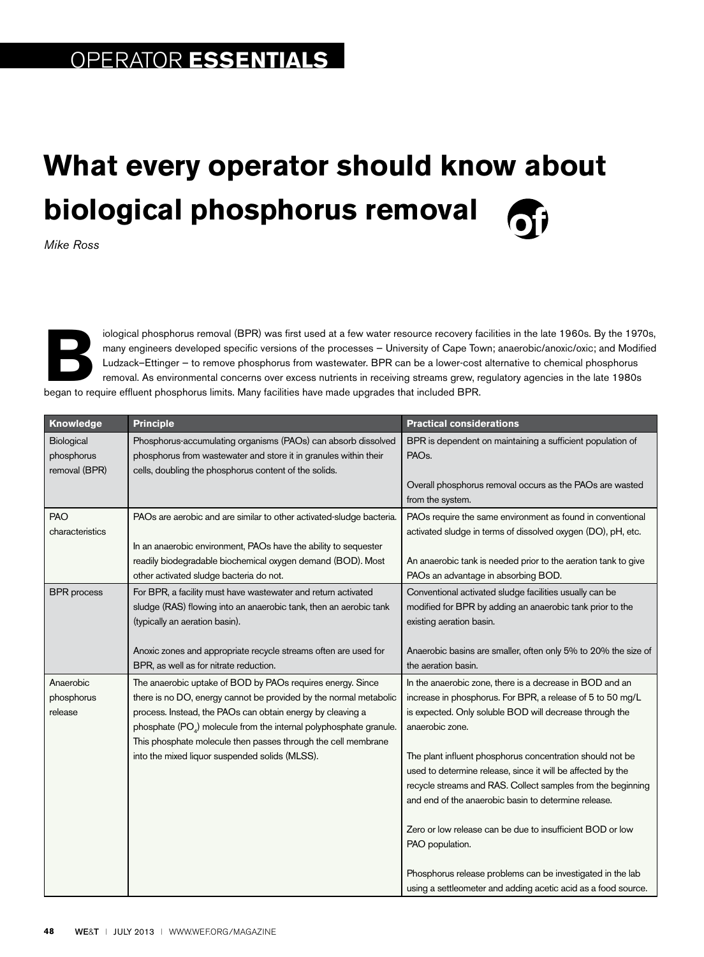## **What every operator should know about biological phosphorus removal**

*Mike Ross*

iological phosphorus removal (BPR) was first used at a few water resource recovery facilities in the late 1960s. By the 1970s, many engineers developed specific versions of the processes – University of Cape Town; anaerobi many engineers developed specific versions of the processes — University of Cape Town; anaerobic/anoxic/oxic; and Modified Ludzack–Ettinger — to remove phosphorus from wastewater. BPR can be a lower-cost alternative to chemical phosphorus removal. As environmental concerns over excess nutrients in receiving streams grew, regulatory agencies in the late 1980s began to require effluent phosphorus limits. Many facilities have made upgrades that included BPR.

| Knowledge                                 | <b>Principle</b>                                                                                                                                                                                                                                                                                                                                                                                   | <b>Practical considerations</b>                                                                                                                                                                                                                                                                                                                                                                                                                                                                                                                                                                                                                                        |
|-------------------------------------------|----------------------------------------------------------------------------------------------------------------------------------------------------------------------------------------------------------------------------------------------------------------------------------------------------------------------------------------------------------------------------------------------------|------------------------------------------------------------------------------------------------------------------------------------------------------------------------------------------------------------------------------------------------------------------------------------------------------------------------------------------------------------------------------------------------------------------------------------------------------------------------------------------------------------------------------------------------------------------------------------------------------------------------------------------------------------------------|
| Biological<br>phosphorus<br>removal (BPR) | Phosphorus-accumulating organisms (PAOs) can absorb dissolved<br>phosphorus from wastewater and store it in granules within their<br>cells, doubling the phosphorus content of the solids.                                                                                                                                                                                                         | BPR is dependent on maintaining a sufficient population of<br>PAO <sub>s</sub> .                                                                                                                                                                                                                                                                                                                                                                                                                                                                                                                                                                                       |
|                                           |                                                                                                                                                                                                                                                                                                                                                                                                    | Overall phosphorus removal occurs as the PAOs are wasted<br>from the system.                                                                                                                                                                                                                                                                                                                                                                                                                                                                                                                                                                                           |
| <b>PAO</b><br>characteristics             | PAOs are aerobic and are similar to other activated-sludge bacteria.<br>In an anaerobic environment, PAOs have the ability to sequester                                                                                                                                                                                                                                                            | PAOs require the same environment as found in conventional<br>activated sludge in terms of dissolved oxygen (DO), pH, etc.                                                                                                                                                                                                                                                                                                                                                                                                                                                                                                                                             |
|                                           | readily biodegradable biochemical oxygen demand (BOD). Most<br>other activated sludge bacteria do not.                                                                                                                                                                                                                                                                                             | An anaerobic tank is needed prior to the aeration tank to give<br>PAOs an advantage in absorbing BOD.                                                                                                                                                                                                                                                                                                                                                                                                                                                                                                                                                                  |
| <b>BPR</b> process                        | For BPR, a facility must have wastewater and return activated<br>sludge (RAS) flowing into an anaerobic tank, then an aerobic tank<br>(typically an aeration basin).                                                                                                                                                                                                                               | Conventional activated sludge facilities usually can be<br>modified for BPR by adding an anaerobic tank prior to the<br>existing aeration basin.                                                                                                                                                                                                                                                                                                                                                                                                                                                                                                                       |
|                                           | Anoxic zones and appropriate recycle streams often are used for<br>BPR, as well as for nitrate reduction.                                                                                                                                                                                                                                                                                          | Anaerobic basins are smaller, often only 5% to 20% the size of<br>the aeration basin.                                                                                                                                                                                                                                                                                                                                                                                                                                                                                                                                                                                  |
| Anaerobic<br>phosphorus<br>release        | The anaerobic uptake of BOD by PAOs requires energy. Since<br>there is no DO, energy cannot be provided by the normal metabolic<br>process. Instead, the PAOs can obtain energy by cleaving a<br>phosphate (PO <sub>4</sub> ) molecule from the internal polyphosphate granule.<br>This phosphate molecule then passes through the cell membrane<br>into the mixed liquor suspended solids (MLSS). | In the anaerobic zone, there is a decrease in BOD and an<br>increase in phosphorus. For BPR, a release of 5 to 50 mg/L<br>is expected. Only soluble BOD will decrease through the<br>anaerobic zone.<br>The plant influent phosphorus concentration should not be<br>used to determine release, since it will be affected by the<br>recycle streams and RAS. Collect samples from the beginning<br>and end of the anaerobic basin to determine release.<br>Zero or low release can be due to insufficient BOD or low<br>PAO population.<br>Phosphorus release problems can be investigated in the lab<br>using a settleometer and adding acetic acid as a food source. |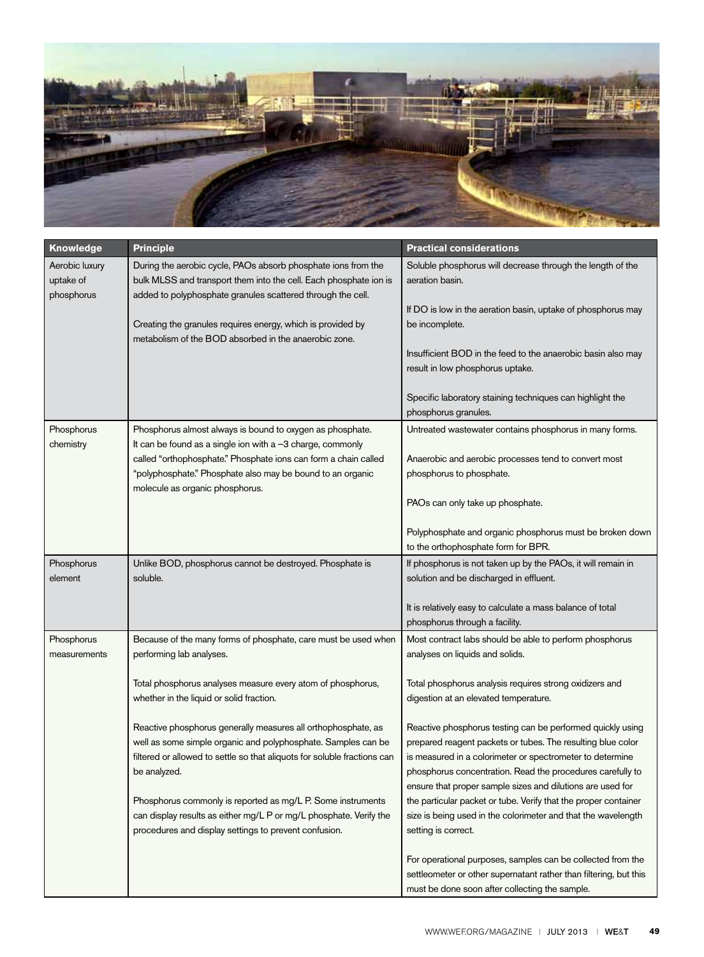

| Knowledge                                 | <b>Principle</b>                                                                                                                                                                                                           | <b>Practical considerations</b>                                                                                                                                                                                                                                                                                    |
|-------------------------------------------|----------------------------------------------------------------------------------------------------------------------------------------------------------------------------------------------------------------------------|--------------------------------------------------------------------------------------------------------------------------------------------------------------------------------------------------------------------------------------------------------------------------------------------------------------------|
| Aerobic luxury<br>uptake of<br>phosphorus | During the aerobic cycle, PAOs absorb phosphate ions from the<br>bulk MLSS and transport them into the cell. Each phosphate ion is<br>added to polyphosphate granules scattered through the cell.                          | Soluble phosphorus will decrease through the length of the<br>aeration basin.                                                                                                                                                                                                                                      |
|                                           | Creating the granules requires energy, which is provided by<br>metabolism of the BOD absorbed in the anaerobic zone.                                                                                                       | If DO is low in the aeration basin, uptake of phosphorus may<br>be incomplete.                                                                                                                                                                                                                                     |
|                                           |                                                                                                                                                                                                                            | Insufficient BOD in the feed to the anaerobic basin also may<br>result in low phosphorus uptake.                                                                                                                                                                                                                   |
|                                           |                                                                                                                                                                                                                            | Specific laboratory staining techniques can highlight the<br>phosphorus granules.                                                                                                                                                                                                                                  |
| Phosphorus<br>chemistry                   | Phosphorus almost always is bound to oxygen as phosphate.<br>It can be found as a single ion with a -3 charge, commonly                                                                                                    | Untreated wastewater contains phosphorus in many forms.                                                                                                                                                                                                                                                            |
|                                           | called "orthophosphate." Phosphate ions can form a chain called<br>"polyphosphate." Phosphate also may be bound to an organic<br>molecule as organic phosphorus.                                                           | Anaerobic and aerobic processes tend to convert most<br>phosphorus to phosphate.                                                                                                                                                                                                                                   |
|                                           |                                                                                                                                                                                                                            | PAOs can only take up phosphate.                                                                                                                                                                                                                                                                                   |
|                                           |                                                                                                                                                                                                                            | Polyphosphate and organic phosphorus must be broken down<br>to the orthophosphate form for BPR.                                                                                                                                                                                                                    |
| Phosphorus<br>element                     | Unlike BOD, phosphorus cannot be destroyed. Phosphate is<br>soluble.                                                                                                                                                       | If phosphorus is not taken up by the PAOs, it will remain in<br>solution and be discharged in effluent.                                                                                                                                                                                                            |
|                                           |                                                                                                                                                                                                                            | It is relatively easy to calculate a mass balance of total<br>phosphorus through a facility.                                                                                                                                                                                                                       |
| Phosphorus<br>measurements                | Because of the many forms of phosphate, care must be used when<br>performing lab analyses.                                                                                                                                 | Most contract labs should be able to perform phosphorus<br>analyses on liquids and solids.                                                                                                                                                                                                                         |
|                                           | Total phosphorus analyses measure every atom of phosphorus,<br>whether in the liquid or solid fraction.                                                                                                                    | Total phosphorus analysis requires strong oxidizers and<br>digestion at an elevated temperature.                                                                                                                                                                                                                   |
|                                           | Reactive phosphorus generally measures all orthophosphate, as<br>well as some simple organic and polyphosphate. Samples can be<br>filtered or allowed to settle so that aliquots for soluble fractions can<br>be analyzed. | Reactive phosphorus testing can be performed quickly using<br>prepared reagent packets or tubes. The resulting blue color<br>is measured in a colorimeter or spectrometer to determine<br>phosphorus concentration. Read the procedures carefully to<br>ensure that proper sample sizes and dilutions are used for |
|                                           | Phosphorus commonly is reported as mg/L P. Some instruments<br>can display results as either mg/L P or mg/L phosphate. Verify the<br>procedures and display settings to prevent confusion.                                 | the particular packet or tube. Verify that the proper container<br>size is being used in the colorimeter and that the wavelength<br>setting is correct.                                                                                                                                                            |
|                                           |                                                                                                                                                                                                                            | For operational purposes, samples can be collected from the<br>settleometer or other supernatant rather than filtering, but this<br>must be done soon after collecting the sample.                                                                                                                                 |